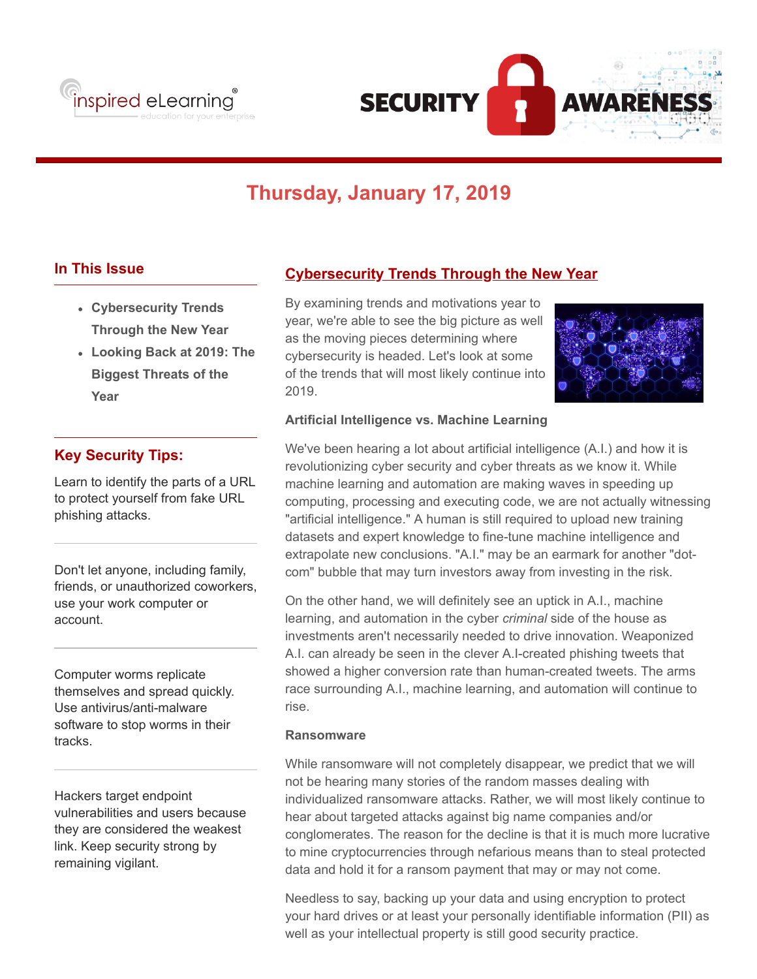



# **Thursday, January 17, 2019**

## **In This Issue**

- **Cybersecurity Trends Through the New Year**
- **Looking Back at 2019: The Biggest Threats of the Year**

## **Key Security Tips:**

Learn to identify the parts of a URL to protect yourself from fake URL phishing attacks.

Don't let anyone, including family, friends, or unauthorized coworkers, use your work computer or account.

Computer worms replicate themselves and spread quickly. Use antivirus/anti-malware software to stop worms in their tracks.

Hackers target endpoint vulnerabilities and users because they are considered the weakest link. Keep security strong by remaining vigilant.

## **Cybersecurity Trends Through the New Year**

By examining trends and motivations year to year, we're able to see the big picture as well as the moving pieces determining where cybersecurity is headed. Let's look at some of the trends that will most likely continue into 2019.



#### **Artificial Intelligence vs. Machine Learning**

We've been hearing a lot about artificial intelligence (A.I.) and how it is revolutionizing cyber security and cyber threats as we know it. While machine learning and automation are making waves in speeding up computing, processing and executing code, we are not actually witnessing "artificial intelligence." A human is still required to upload new training datasets and expert knowledge to fine-tune machine intelligence and extrapolate new conclusions. "A.I." may be an earmark for another "dotcom" bubble that may turn investors away from investing in the risk.

On the other hand, we will definitely see an uptick in A.I., machine learning, and automation in the cyber *criminal* side of the house as investments aren't necessarily needed to drive innovation. Weaponized A.I. can already be seen in the clever A.I-created phishing tweets that showed a higher conversion rate than human-created tweets. The arms race surrounding A.I., machine learning, and automation will continue to rise.

#### **Ransomware**

While ransomware will not completely disappear, we predict that we will not be hearing many stories of the random masses dealing with individualized ransomware attacks. Rather, we will most likely continue to hear about targeted attacks against big name companies and/or conglomerates. The reason for the decline is that it is much more lucrative to mine cryptocurrencies through nefarious means than to steal protected data and hold it for a ransom payment that may or may not come.

Needless to say, backing up your data and using encryption to protect your hard drives or at least your personally identifiable information (PII) as well as your intellectual property is still good security practice.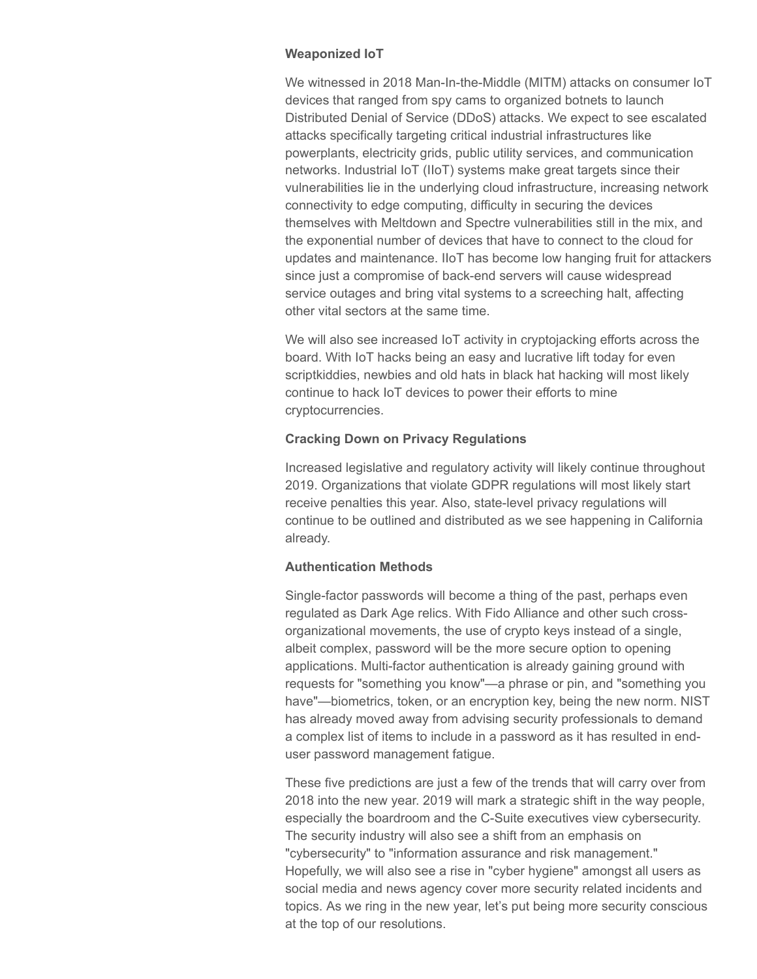#### **Weaponized IoT**

We witnessed in 2018 Man-In-the-Middle (MITM) attacks on consumer IoT devices that ranged from spy cams to organized botnets to launch Distributed Denial of Service (DDoS) attacks. We expect to see escalated attacks specifically targeting critical industrial infrastructures like powerplants, electricity grids, public utility services, and communication networks. Industrial IoT (IIoT) systems make great targets since their vulnerabilities lie in the underlying cloud infrastructure, increasing network connectivity to edge computing, difficulty in securing the devices themselves with Meltdown and Spectre vulnerabilities still in the mix, and the exponential number of devices that have to connect to the cloud for updates and maintenance. IIoT has become low hanging fruit for attackers since just a compromise of back-end servers will cause widespread service outages and bring vital systems to a screeching halt, affecting other vital sectors at the same time.

We will also see increased IoT activity in cryptojacking efforts across the board. With IoT hacks being an easy and lucrative lift today for even scriptkiddies, newbies and old hats in black hat hacking will most likely continue to hack IoT devices to power their efforts to mine cryptocurrencies.

#### **Cracking Down on Privacy Regulations**

Increased legislative and regulatory activity will likely continue throughout 2019. Organizations that violate GDPR regulations will most likely start receive penalties this year. Also, state-level privacy regulations will continue to be outlined and distributed as we see happening in California already.

#### **Authentication Methods**

Single-factor passwords will become a thing of the past, perhaps even regulated as Dark Age relics. With Fido Alliance and other such crossorganizational movements, the use of crypto keys instead of a single, albeit complex, password will be the more secure option to opening applications. Multi-factor authentication is already gaining ground with requests for "something you know"—a phrase or pin, and "something you have"—biometrics, token, or an encryption key, being the new norm. NIST has already moved away from advising security professionals to demand a complex list of items to include in a password as it has resulted in enduser password management fatigue.

These five predictions are just a few of the trends that will carry over from 2018 into the new year. 2019 will mark a strategic shift in the way people, especially the boardroom and the C-Suite executives view cybersecurity. The security industry will also see a shift from an emphasis on "cybersecurity" to "information assurance and risk management." Hopefully, we will also see a rise in "cyber hygiene" amongst all users as social media and news agency cover more security related incidents and topics. As we ring in the new year, let's put being more security conscious at the top of our resolutions.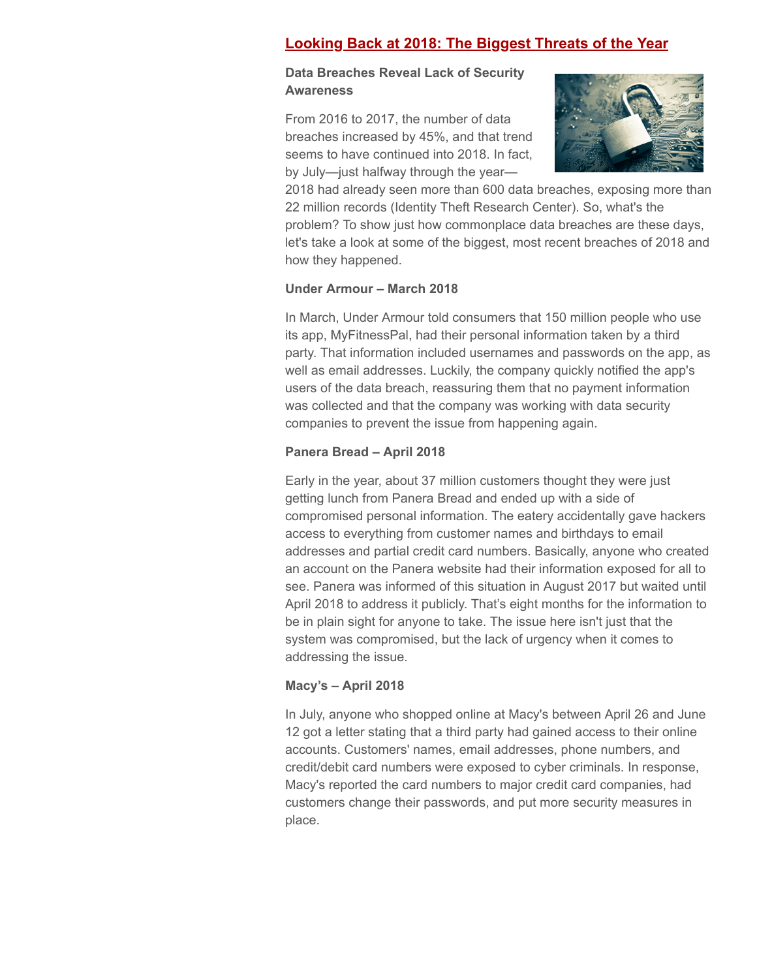# **Looking Back at 2018: The Biggest Threats of the Year**

## **Data Breaches Reveal Lack of Security Awareness**

From 2016 to 2017, the number of data breaches increased by 45%, and that trend seems to have continued into 2018. In fact, by July—just halfway through the year—



2018 had already seen more than 600 data breaches, exposing more than 22 million records (Identity Theft Research Center). So, what's the problem? To show just how commonplace data breaches are these days, let's take a look at some of the biggest, most recent breaches of 2018 and how they happened.

## **Under Armour – March 2018**

In March, Under Armour told consumers that 150 million people who use its app, MyFitnessPal, had their personal information taken by a third party. That information included usernames and passwords on the app, as well as email addresses. Luckily, the company quickly notified the app's users of the data breach, reassuring them that no payment information was collected and that the company was working with data security companies to prevent the issue from happening again.

## **Panera Bread – April 2018**

Early in the year, about 37 million customers thought they were just getting lunch from Panera Bread and ended up with a side of compromised personal information. The eatery accidentally gave hackers access to everything from customer names and birthdays to email addresses and partial credit card numbers. Basically, anyone who created an account on the Panera website had their information exposed for all to see. Panera was informed of this situation in August 2017 but waited until April 2018 to address it publicly. That's eight months for the information to be in plain sight for anyone to take. The issue here isn't just that the system was compromised, but the lack of urgency when it comes to addressing the issue.

## **Macy's – April 2018**

In July, anyone who shopped online at Macy's between April 26 and June 12 got a letter stating that a third party had gained access to their online accounts. Customers' names, email addresses, phone numbers, and credit/debit card numbers were exposed to cyber criminals. In response, Macy's reported the card numbers to major credit card companies, had customers change their passwords, and put more security measures in place.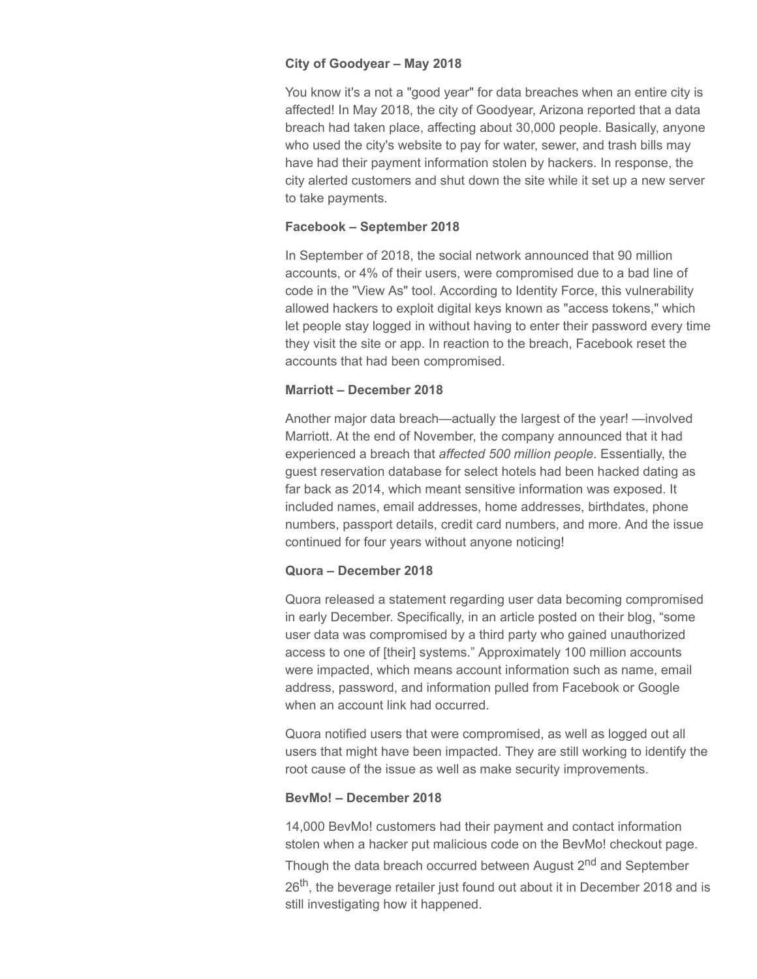#### **City of Goodyear – May 2018**

You know it's a not a "good year" for data breaches when an entire city is affected! In May 2018, the city of Goodyear, Arizona reported that a data breach had taken place, affecting about 30,000 people. Basically, anyone who used the city's website to pay for water, sewer, and trash bills may have had their payment information stolen by hackers. In response, the city alerted customers and shut down the site while it set up a new server to take payments.

#### **Facebook – September 2018**

In September of 2018, the social network announced that 90 million accounts, or 4% of their users, were compromised due to a bad line of code in the "View As" tool. According to Identity Force, this vulnerability allowed hackers to exploit digital keys known as "access tokens," which let people stay logged in without having to enter their password every time they visit the site or app. In reaction to the breach, Facebook reset the accounts that had been compromised.

#### **Marriott – December 2018**

Another major data breach—actually the largest of the year! —involved Marriott. At the end of November, the company announced that it had experienced a breach that *affected 500 million people*. Essentially, the guest reservation database for select hotels had been hacked dating as far back as 2014, which meant sensitive information was exposed. It included names, email addresses, home addresses, birthdates, phone numbers, passport details, credit card numbers, and more. And the issue continued for four years without anyone noticing!

## **Quora – December 2018**

Quora released a statement regarding user data becoming compromised in early December. Specifically, in an article posted on their blog, "some user data was compromised by a third party who gained unauthorized access to one of [their] systems." Approximately 100 million accounts were impacted, which means account information such as name, email address, password, and information pulled from Facebook or Google when an account link had occurred.

Quora notified users that were compromised, as well as logged out all users that might have been impacted. They are still working to identify the root cause of the issue as well as make security improvements.

#### **BevMo! – December 2018**

14,000 BevMo! customers had their payment and contact information stolen when a hacker put malicious code on the BevMo! checkout page. Though the data breach occurred between August 2<sup>nd</sup> and September 26<sup>th</sup>, the beverage retailer just found out about it in December 2018 and is still investigating how it happened.